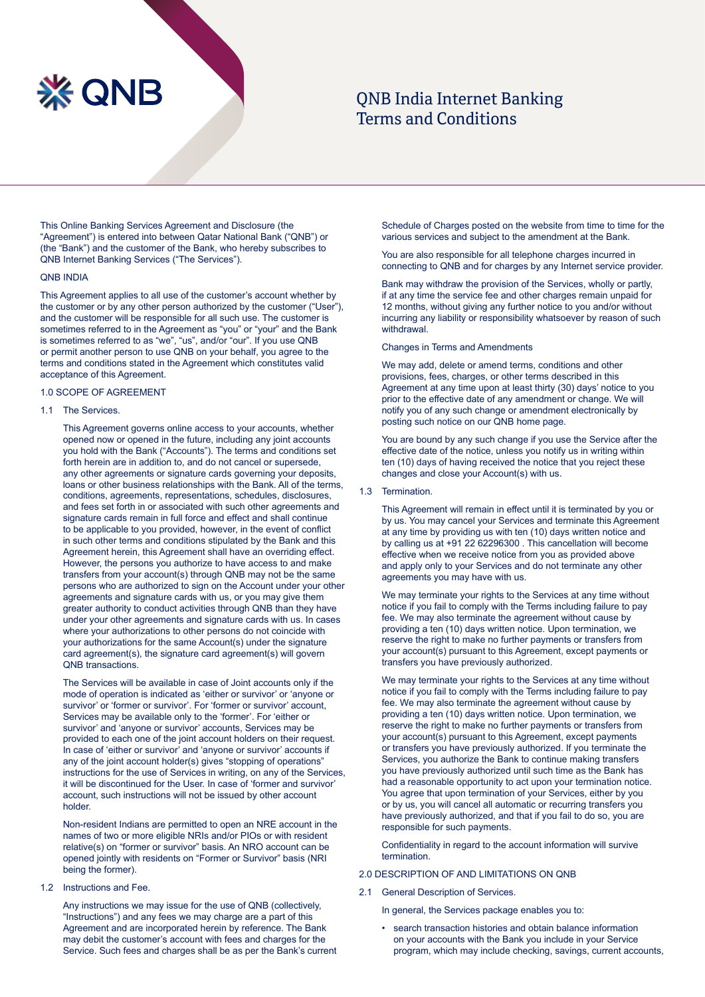# **XX QNB**

# **ONB India Internet Banking** Terms and Conditions

This Online Banking Services Agreement and Disclosure (the "Agreement") is entered into between Qatar National Bank ("QNB") or (the "Bank") and the customer of the Bank, who hereby subscribes to QNB Internet Banking Services ("The Services").

# **ONB INDIA**

This Agreement applies to all use of the customer's account whether by the customer or by any other person authorized by the customer ("User"), and the customer will be responsible for all such use. The customer is sometimes referred to in the Agreement as "you" or "your" and the Bank is sometimes referred to as "we", "us", and/or "our". If you use QNB or permit another person to use QNB on your behalf, you agree to the terms and conditions stated in the Agreement which constitutes valid acceptance of this Agreement.

# 1.0 SCOPE OF AGREEMENT

# 1.1 The Services

This Agreement governs online access to your accounts, whether opened now or opened in the future, including any joint accounts you hold with the Bank ("Accounts"). The terms and conditions set forth herein are in addition to, and do not cancel or supersede, any other agreements or signature cards governing your deposits, loans or other business relationships with the Bank. All of the terms, conditions, agreements, representations, schedules, disclosures, and fees set forth in or associated with such other agreements and signature cards remain in full force and effect and shall continue to be applicable to you provided, however, in the event of conflict in such other terms and conditions stipulated by the Bank and this Agreement herein, this Agreement shall have an overriding effect. However, the persons you authorize to have access to and make transfers from your account(s) through QNB may not be the same persons who are authorized to sign on the Account under your other agreements and signature cards with us, or you may give them greater authority to conduct activities through QNB than they have under your other agreements and signature cards with us. In cases where your authorizations to other persons do not coincide with your authorizations for the same Account(s) under the signature card agreement(s), the signature card agreement(s) will govern QNB transactions.

The Services will be available in case of Joint accounts only if the mode of operation is indicated as 'either or survivor' or 'anyone or survivor' or 'former or survivor'. For 'former or survivor' account, Services may be available only to the 'former'. For 'either or survivor' and 'anyone or survivor' accounts, Services may be provided to each one of the joint account holders on their request. In case of 'either or survivor' and 'anyone or survivor' accounts if any of the joint account holder(s) gives "stopping of operations" instructions for the use of Services in writing, on any of the Services, it will be discontinued for the User. In case of 'former and survivor' account, such instructions will not be issued by other account .holder

Non-resident Indians are permitted to open an NRE account in the names of two or more eligible NRIs and/or PIOs or with resident relative(s) on "former or survivor" basis. An NRO account can be opened jointly with residents on "Former or Survivor" basis (NRI being the former)

1.2 Instructions and Fee.

Any instructions we may issue for the use of QNB (collectively, "Instructions") and any fees we may charge are a part of this Agreement and are incorporated herein by reference. The Bank may debit the customer's account with fees and charges for the Service. Such fees and charges shall be as per the Bank's current

Schedule of Charges posted on the website from time to time for the various services and subject to the amendment at the Bank.

You are also responsible for all telephone charges incurred in connecting to QNB and for charges by any Internet service provider.

Bank may withdraw the provision of the Services, wholly or partly, if at any time the service fee and other charges remain unpaid for 12 months, without giving any further notice to you and/or without incurring any liability or responsibility whatsoever by reason of such withdrawal.

#### Changes in Terms and Amendments

We may add, delete or amend terms, conditions and other provisions, fees, charges, or other terms described in this Agreement at any time upon at least thirty (30) days' notice to you prior to the effective date of any amendment or change. We will notify you of any such change or amendment electronically by posting such notice on our QNB home page.

You are bound by any such change if you use the Service after the effective date of the notice, unless you notify us in writing within ten (10) days of having received the notice that you reject these changes and close your Account(s) with us.

#### 1.3 Termination.

This Agreement will remain in effect until it is terminated by you or by us. You may cancel your Services and terminate this Agreement at any time by providing us with ten  $(10)$  days written notice and by calling us at +91 22 62296300 . This cancellation will become effective when we receive notice from you as provided above and apply only to your Services and do not terminate any other agreements you may have with us.

We may terminate your rights to the Services at any time without notice if you fail to comply with the Terms including failure to pay fee. We may also terminate the agreement without cause by providing a ten (10) days written notice. Upon termination, we reserve the right to make no further payments or transfers from your account(s) pursuant to this Agreement, except payments or transfers you have previously authorized.

We may terminate your rights to the Services at any time without notice if you fail to comply with the Terms including failure to pay fee. We may also terminate the agreement without cause by providing a ten (10) days written notice. Upon termination, we reserve the right to make no further payments or transfers from your account(s) pursuant to this Agreement, except payments or transfers you have previously authorized. If you terminate the Services, you authorize the Bank to continue making transfers you have previously authorized until such time as the Bank has had a reasonable opportunity to act upon your termination notice. You agree that upon termination of your Services, either by you or by us, you will cancel all automatic or recurring transfers you have previously authorized, and that if you fail to do so, you are responsible for such payments.

Confidentiality in regard to the account information will survive .termination

# 2.0 DESCRIPTION OF AND LIMITATIONS ON QNB

- 2.1 General Description of Services.
	- In general, the Services package enables you to:
	- search transaction histories and obtain balance information on your accounts with the Bank you include in your Service program, which may include checking, savings, current accounts,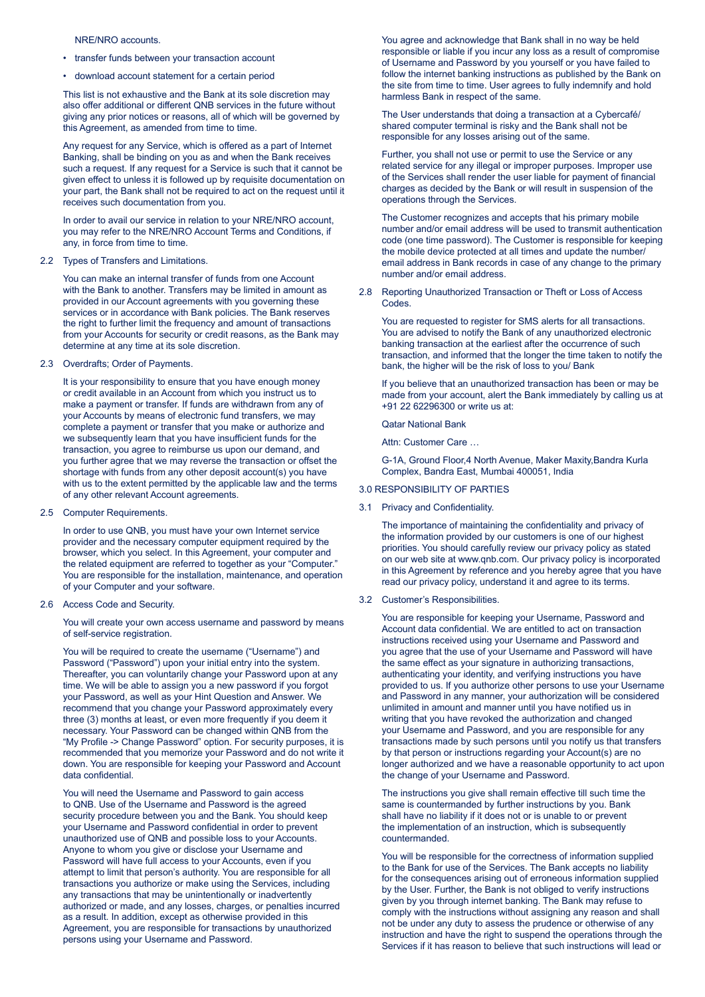# NRE/NRO accounts.

- transfer funds between your transaction account
- download account statement for a certain period

This list is not exhaustive and the Bank at its sole discretion may also offer additional or different QNB services in the future without giving any prior notices or reasons, all of which will be governed by this Agreement, as amended from time to time.

Any request for any Service, which is offered as a part of Internet Banking, shall be binding on you as and when the Bank receives such a request. If any request for a Service is such that it cannot be given effect to unless it is followed up by requisite documentation on your part, the Bank shall not be required to act on the request until it receives such documentation from you.

In order to avail our service in relation to your NRE/NRO account, you may refer to the NRE/NRO Account Terms and Conditions, if any, in force from time to time.

#### 2.2 Types of Transfers and Limitations.

You can make an internal transfer of funds from one Account with the Bank to another. Transfers may be limited in amount as provided in our Account agreements with you governing these services or in accordance with Bank policies. The Bank reserves the right to further limit the frequency and amount of transactions from your Accounts for security or credit reasons, as the Bank may determine at any time at its sole discretion.

2.3 Overdrafts; Order of Payments.

It is your responsibility to ensure that you have enough money or credit available in an Account from which you instruct us to make a payment or transfer. If funds are withdrawn from any of your Accounts by means of electronic fund transfers, we may complete a payment or transfer that you make or authorize and we subsequently learn that you have insufficient funds for the transaction, you agree to reimburse us upon our demand, and you further agree that we may reverse the transaction or offset the shortage with funds from any other deposit account(s) you have with us to the extent permitted by the applicable law and the terms of any other relevant Account agreements.

2.5 Computer Requirements.

In order to use QNB, you must have your own Internet service provider and the necessary computer equipment required by the browser, which you select. In this Agreement, your computer and the related equipment are referred to together as your "Computer." You are responsible for the installation, maintenance, and operation of your Computer and your software.

2.6 Access Code and Security.

You will create your own access username and password by means of self-service registration.

You will be required to create the username ("Username") and Password ("Password") upon your initial entry into the system. Thereafter, you can voluntarily change your Password upon at any time. We will be able to assign you a new password if you forgot your Password, as well as your Hint Question and Answer. We recommend that you change your Password approximately every three (3) months at least, or even more frequently if you deem it necessary. Your Password can be changed within QNB from the "My Profile -> Change Password" option. For security purposes, it is recommended that you memorize your Password and do not write it down. You are responsible for keeping your Password and Account data confidential

You will need the Username and Password to gain access to QNB. Use of the Username and Password is the agreed security procedure between you and the Bank. You should keep your Username and Password confidential in order to prevent unauthorized use of QNB and possible loss to your Accounts. Anyone to whom you give or disclose your Username and Password will have full access to your Accounts, even if you attempt to limit that person's authority. You are responsible for all transactions you authorize or make using the Services, including any transactions that may be unintentionally or inadvertently authorized or made, and any losses, charges, or penalties incurred as a result. In addition, except as otherwise provided in this Agreement, you are responsible for transactions by unauthorized persons using your Username and Password.

You agree and acknowledge that Bank shall in no way be held responsible or liable if you incur any loss as a result of compromise of Username and Password by you yourself or you have failed to follow the internet banking instructions as published by the Bank on the site from time to time. User agrees to fully indemnify and hold harmless Bank in respect of the same.

The User understands that doing a transaction at a Cybercafé/ shared computer terminal is risky and the Bank shall not be responsible for any losses arising out of the same.

Further, you shall not use or permit to use the Service or any related service for any illegal or improper purposes. Improper use of the Services shall render the user liable for payment of financial charges as decided by the Bank or will result in suspension of the operations through the Services.

The Customer recognizes and accepts that his primary mobile number and/or email address will be used to transmit authentication code (one time password). The Customer is responsible for keeping the mobile device protected at all times and update the number/ email address in Bank records in case of any change to the primary number and/or email address.

2.8 Reporting Unauthorized Transaction or Theft or Loss of Access Codes.

You are requested to register for SMS alerts for all transactions. You are advised to notify the Bank of any unauthorized electronic banking transaction at the earliest after the occurrence of such transaction, and informed that the longer the time taken to notify the bank, the higher will be the risk of loss to you/ Bank

If you believe that an unauthorized transaction has been or may be made from your account, alert the Bank immediately by calling us at +91 22 62296300 or write us at:

Qatar National Bank

Attn: Customer Care ...

G-1A, Ground Floor,4 North Avenue, Maker Maxity, Bandra Kurla Complex, Bandra East, Mumbai 400051, India

# **3.0 RESPONSIBILITY OF PARTIES**

3.1 Privacy and Confidentiality.

The importance of maintaining the confidentiality and privacy of the information provided by our customers is one of our highest priorities. You should carefully review our privacy policy as stated on our web site at www qnb.com. Our privacy policy is incorporated in this Agreement by reference and you hereby agree that you have read our privacy policy, understand it and agree to its terms.

## 3.2 Customer's Responsibilities.

You are responsible for keeping your Username, Password and Account data confidential. We are entitled to act on transaction instructions received using your Username and Password and you agree that the use of your Username and Password will have the same effect as your signature in authorizing transactions, authenticating your identity, and verifying instructions you have provided to us. If you authorize other persons to use your Username and Password in any manner, your authorization will be considered unlimited in amount and manner until you have notified us in writing that you have revoked the authorization and changed your Username and Password, and you are responsible for any transactions made by such persons until you notify us that transfers by that person or instructions regarding your Account(s) are no longer authorized and we have a reasonable opportunity to act upon the change of your Username and Password.

The instructions you give shall remain effective till such time the same is countermanded by further instructions by you. Bank shall have no liability if it does not or is unable to or prevent the implementation of an instruction, which is subsequently .countermanded

You will be responsible for the correctness of information supplied to the Bank for use of the Services. The Bank accepts no liability for the consequences arising out of erroneous information supplied by the User. Further, the Bank is not obliged to verify instructions given by you through internet banking. The Bank may refuse to comply with the instructions without assigning any reason and shall not be under any duty to assess the prudence or otherwise of any instruction and have the right to suspend the operations through the Services if it has reason to believe that such instructions will lead or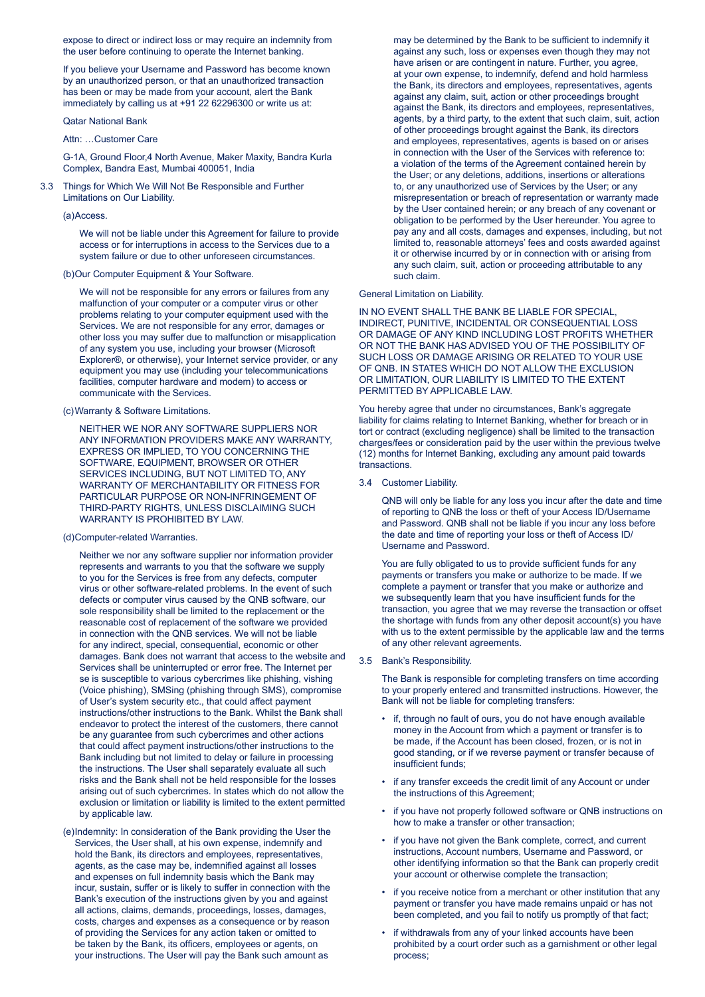expose to direct or indirect loss or may require an indemnity from the user before continuing to operate the Internet banking.

If you believe your Username and Password has become known by an unauthorized person, or that an unauthorized transaction has been or may be made from your account, alert the Bank immediately by calling us at  $+91$  22 62296300 or write us at:

# Qatar National Bank

# Attn: Customer Care

G-1A, Ground Floor, 4 North Avenue, Maker Maxity, Bandra Kurla Complex, Bandra East, Mumbai 400051, India

3.3 Things for Which We Will Not Be Responsible and Further Limitations on Our Liability.

# (a)Access.

We will not be liable under this Agreement for failure to provide access or for interruptions in access to the Services due to a system failure or due to other unforeseen circumstances.

#### (b) Our Computer Equipment & Your Software.

We will not be responsible for any errors or failures from any malfunction of your computer or a computer virus or other problems relating to your computer equipment used with the Services. We are not responsible for any error, damages or other loss you may suffer due to malfunction or misapplication of any system you use, including your browser (Microsoft Explorer®, or otherwise), your Internet service provider, or any equipment you may use (including your telecommunications facilities, computer hardware and modem) to access or communicate with the Services.

#### (c) Warranty & Software Limitations.

NEITHER WE NOR ANY SOFTWARE SUPPLIERS NOR ANY INFORMATION PROVIDERS MAKE ANY WARRANTY. EXPRESS OR IMPLIED, TO YOU CONCERNING THE SOFTWARE FOUIPMENT BROWSER OR OTHER SERVICES INCLUDING, BUT NOT LIMITED TO, ANY WARRANTY OF MERCHANTABILITY OR FITNESS FOR PARTICULAR PURPOSE OR NON-INFRINGEMENT OF THIRD-PARTY RIGHTS, UNLESS DISCLAIMING SUCH WARRANTY IS PROHIBITED BY LAW.

#### (d)Computer-related Warranties.

Neither we nor any software supplier nor information provider represents and warrants to you that the software we supply to you for the Services is free from any defects, computer virus or other software-related problems. In the event of such defects or computer virus caused by the QNB software, our sole responsibility shall be limited to the replacement or the reasonable cost of replacement of the software we provided in connection with the QNB services. We will not be liable for any indirect, special, consequential, economic or other damages. Bank does not warrant that access to the website and Services shall be uninterrupted or error free. The Internet per se is susceptible to various cybercrimes like phishing, vishing (Voice phishing), SMSing (phishing through SMS), compromise of User's system security etc., that could affect payment instructions/other instructions to the Bank. Whilst the Bank shall endeavor to protect the interest of the customers, there cannot be any guarantee from such cybercrimes and other actions that could affect payment instructions/other instructions to the Bank including but not limited to delay or failure in processing the instructions. The User shall separately evaluate all such risks and the Bank shall not be held responsible for the losses arising out of such cybercrimes. In states which do not allow the exclusion or limitation or liability is limited to the extent permitted by applicable law

(e)Indemnity: In consideration of the Bank providing the User the Services, the User shall, at his own expense, indemnify and hold the Bank, its directors and employees, representatives, agents, as the case may be, indemnified against all losses and expenses on full indemnity basis which the Bank may incur, sustain, suffer or is likely to suffer in connection with the Bank's execution of the instructions given by you and against all actions, claims, demands, proceedings, losses, damages, costs, charges and expenses as a consequence or by reason of providing the Services for any action taken or omitted to be taken by the Bank, its officers, employees or agents, on your instructions. The User will pay the Bank such amount as

may be determined by the Bank to be sufficient to indemnify it against any such, loss or expenses even though they may not have arisen or are contingent in nature. Further, you agree, at your own expense, to indemnify, defend and hold harmless the Bank, its directors and employees, representatives, agents against any claim, suit, action or other proceedings brought against the Bank, its directors and employees, representatives, agents, by a third party, to the extent that such claim, suit, action of other proceedings brought against the Bank, its directors and employees, representatives, agents is based on or arises in connection with the User of the Services with reference to: a violation of the terms of the Agreement contained herein by the User; or any deletions, additions, insertions or alterations to, or any unauthorized use of Services by the User; or any misrepresentation or breach of representation or warranty made by the User contained herein; or any breach of any covenant or obligation to be performed by the User hereunder. You agree to pay any and all costs, damages and expenses, including, but not limited to, reasonable attorneys' fees and costs awarded against it or otherwise incurred by or in connection with or arising from any such claim, suit, action or proceeding attributable to any such claim.

#### General Limitation on Liability.

IN NO EVENT SHALL THE BANK BE LIABLE FOR SPECIAL. INDIRECT, PUNITIVE, INCIDENTAL OR CONSEQUENTIAL LOSS OR DAMAGE OF ANY KIND INCLUDING LOST PROFITS WHETHER OR NOT THE BANK HAS ADVISED YOU OF THE POSSIBILITY OF SUCH LOSS OR DAMAGE ARISING OR RELATED TO YOUR USE OF QNB. IN STATES WHICH DO NOT ALLOW THE EXCLUSION OR LIMITATION. OUR LIABILITY IS LIMITED TO THE EXTENT PERMITTED BY APPLICABLE LAW.

You hereby agree that under no circumstances, Bank's aggregate liability for claims relating to Internet Banking, whether for breach or in tort or contract (excluding negligence) shall be limited to the transaction charges/fees or consideration paid by the user within the previous twelve (12) months for Internet Banking, excluding any amount paid towards transactions

# 3.4 Customer Liability.

QNB will only be liable for any loss you incur after the date and time of reporting to QNB the loss or theft of your Access ID/Username and Password. QNB shall not be liable if you incur any loss before the date and time of reporting your loss or theft of Access ID/ Username and Password.

You are fully obligated to us to provide sufficient funds for any payments or transfers you make or authorize to be made. If we complete a payment or transfer that you make or authorize and we subsequently learn that you have insufficient funds for the transaction, you agree that we may reverse the transaction or offset the shortage with funds from any other deposit account(s) you have with us to the extent permissible by the applicable law and the terms of any other relevant agreements.

#### 3.5 Bank's Responsibility.

The Bank is responsible for completing transfers on time according to your properly entered and transmitted instructions. However, the Bank will not be liable for completing transfers:

- if, through no fault of ours, you do not have enough available money in the Account from which a payment or transfer is to be made, if the Account has been closed, frozen, or is not in good standing, or if we reverse payment or transfer because of insufficient funds:
- if any transfer exceeds the credit limit of any Account or under the instructions of this Agreement;
- if you have not properly followed software or QNB instructions on how to make a transfer or other transaction;
- if you have not given the Bank complete, correct, and current instructions, Account numbers, Username and Password, or other identifying information so that the Bank can properly credit your account or otherwise complete the transaction;
- if you receive notice from a merchant or other institution that any payment or transfer you have made remains unpaid or has not been completed, and you fail to notify us promptly of that fact;
- if withdrawals from any of your linked accounts have been prohibited by a court order such as a garnishment or other legal process: